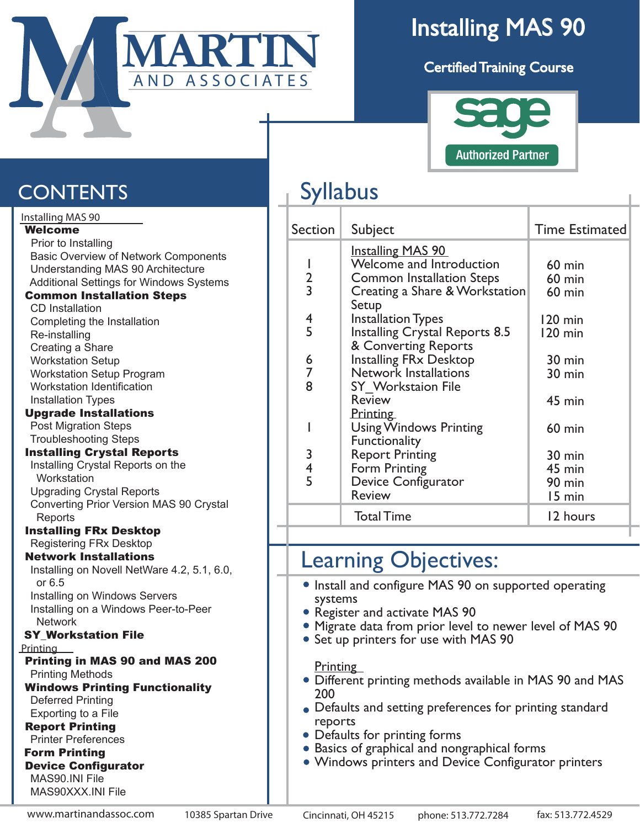

# Installing MAS 90

Certified Training Course



### **CONTENTS**

| Installing MAS 90                              |
|------------------------------------------------|
| <b>Welcome</b>                                 |
| Prior to Installing                            |
| Basic Overview of Network Components           |
| <b>Understanding MAS 90 Architecture</b>       |
| <b>Additional Settings for Windows Systems</b> |
| <b>Common Installation Steps</b>               |
| <b>CD</b> Installation                         |
| Completing the Installation                    |
| Re-installing                                  |
| Creating a Share                               |
| <b>Workstation Setup</b>                       |
| <b>Workstation Setup Program</b>               |
| <b>Workstation Identification</b>              |
| <b>Installation Types</b>                      |
| <b>Upgrade Installations</b>                   |
| <b>Post Migration Steps</b>                    |
| <b>Troubleshooting Steps</b>                   |
| <b>Installing Crystal Reports</b>              |
| Installing Crystal Reports on the              |
| Workstation                                    |
| <b>Upgrading Crystal Reports</b>               |
| Converting Prior Version MAS 90 Crystal        |
| Reports                                        |
| <b>Installing FRx Desktop</b>                  |
| <b>Registering FRx Desktop</b>                 |
| <b>Network Installations</b>                   |
| Installing on Novell NetWare 4.2, 5.1, 6.0,    |
| or $6.5$                                       |
| Installing on Windows Servers                  |
| Installing on a Windows Peer-to-Peer           |
| <b>Network</b>                                 |
| <b>SY_Workstation File</b>                     |
| Printing                                       |
| <b>Printing in MAS 90 and MAS 200</b>          |
| <b>Printing Methods</b>                        |
| <b>Windows Printing Functionality</b>          |
| <b>Deferred Printing</b>                       |
| Exporting to a File                            |
| <b>Report Printing</b>                         |
| <b>Printer Preferences</b>                     |
| <b>Form Printing</b>                           |
| <b>Device Configurator</b>                     |
| MAS90.INI File                                 |
| MAS90XXX.INI File                              |
|                                                |

## Syllabus

| Section                 | Subject                               | <b>Time Estimated</b> |
|-------------------------|---------------------------------------|-----------------------|
|                         | <b>Installing MAS 90</b>              |                       |
|                         | Welcome and Introduction              | $60$ min              |
| $\frac{2}{3}$           | <b>Common Installation Steps</b>      | $60$ min              |
|                         | Creating a Share & Workstation        | $60$ min              |
|                         | Setup                                 |                       |
| 4                       | <b>Installation Types</b>             | $120 \text{ min}$     |
| 5                       | <b>Installing Crystal Reports 8.5</b> | 120 min               |
|                         | & Converting Reports                  |                       |
| 6                       | <b>Installing FRx Desktop</b>         | 30 min                |
| 7                       | <b>Network Installations</b>          | 30 min                |
| 8                       | <b>SY</b> Workstaion File             |                       |
|                         | <b>Review</b>                         | 45 min                |
|                         | <b>Printing</b>                       |                       |
|                         | <b>Using Windows Printing</b>         | $60$ min              |
|                         | Functionality                         |                       |
| 3                       | <b>Report Printing</b>                | 30 min                |
| $\overline{\mathbf{r}}$ | Form Printing                         |                       |
| 5                       |                                       | 45 min                |
|                         | Device Configurator                   | 90 min                |
|                         | <b>Review</b>                         | 15 min                |
|                         | <b>Total Time</b>                     | 12 hours              |

#### Learning Objectives:

- Install and configure MAS 90 on supported operating systems
- Register and activate MAS 90
- Migrate data from prior level to newer level of MAS 90
- Set up printers for use with MAS 90

**Printing** 

- Different printing methods available in MAS 90 and MAS 200
- Defaults and setting preferences for printing standard reports
- Defaults for printing forms
- Basics of graphical and nongraphical forms
- Windows printers and Device Configurator printers